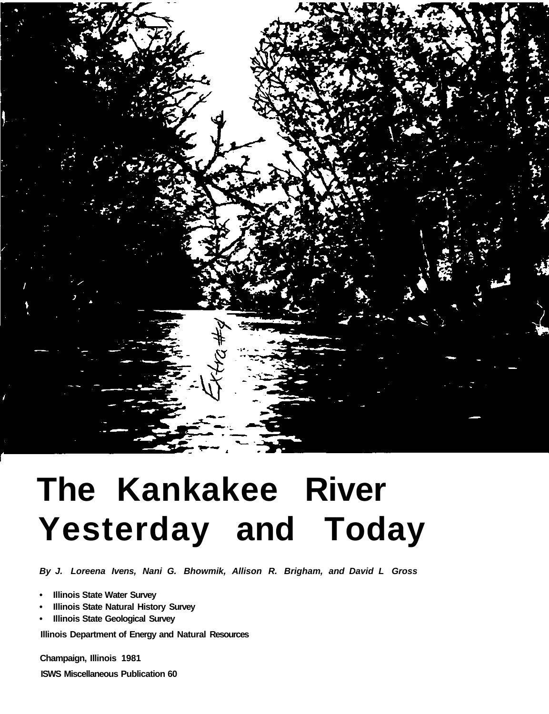

# **The Kankakee River Yesterday and Today**

*By J. Loreena Ivens, Nani G. Bhowmik, Allison R. Brigham, and David L Gross* 

- **Illinois State Water Survey**
- **Illinois State Natural History Survey**
- **Illinois State Geological Survey**

**Illinois Department of Energy and Natural Resources** 

**Champaign, Illinois 1981** 

**ISWS Miscellaneous Publication 60**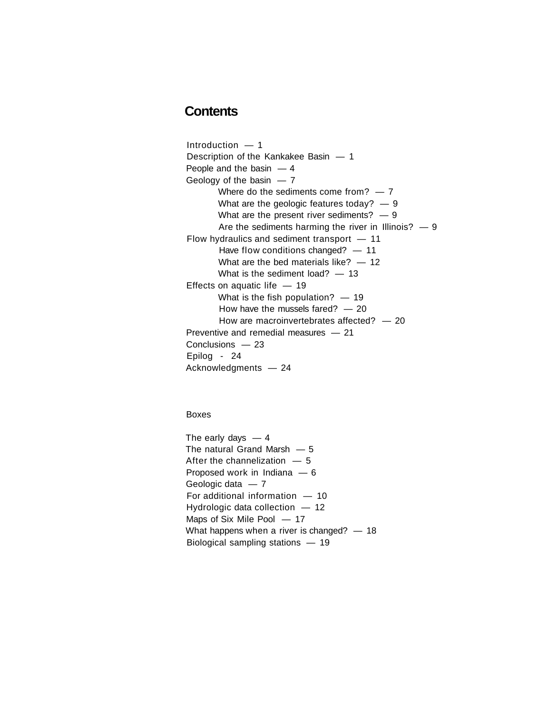# **Contents**

Introduction — 1 Description of the Kankakee Basin — 1 People and the basin  $-4$ Geology of the basin  $-7$ Where do the sediments come from?  $-7$ What are the geologic features today?  $-9$ What are the present river sediments?  $-9$ Are the sediments harming the river in Illinois?  $-9$ Flow hydraulics and sediment transport — 11 Have flow conditions changed? - 11 What are the bed materials like?  $-12$ What is the sediment load?  $-13$ Effects on aquatic life  $-19$ What is the fish population?  $-19$ How have the mussels fared?  $-20$ How are macroinvertebrates affected? — 20 Preventive and remedial measures — 21 Conclusions — 23 Epilog - 24 Acknowledgments — 24

Boxes

The early days  $-4$ The natural Grand Marsh — 5 After the channelization  $-5$ Proposed work in Indiana — 6 Geologic data — 7 For additional information — 10 Hydrologic data collection — 12 Maps of Six Mile Pool — 17 What happens when a river is changed? - 18 Biological sampling stations — 19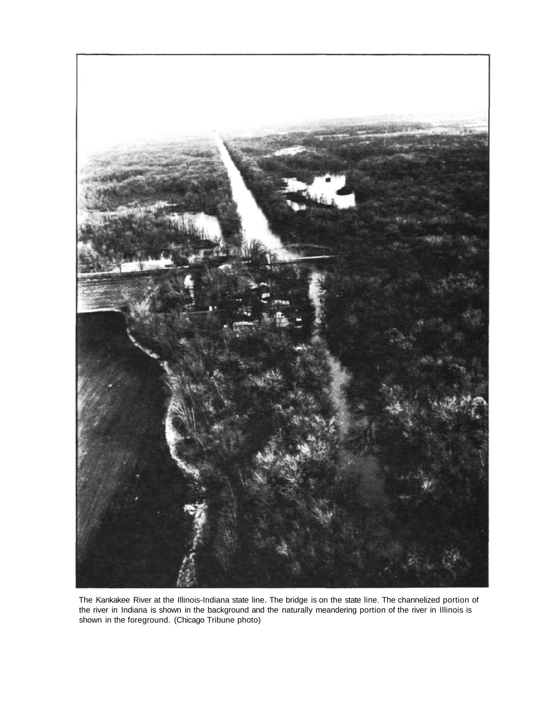

The Kankakee River at the Illinois-Indiana state line. The bridge is on the state line. The channelized portion of the river in Indiana is shown in the background and the naturally meandering portion of the river in Illinois is shown in the foreground. (Chicago Tribune photo)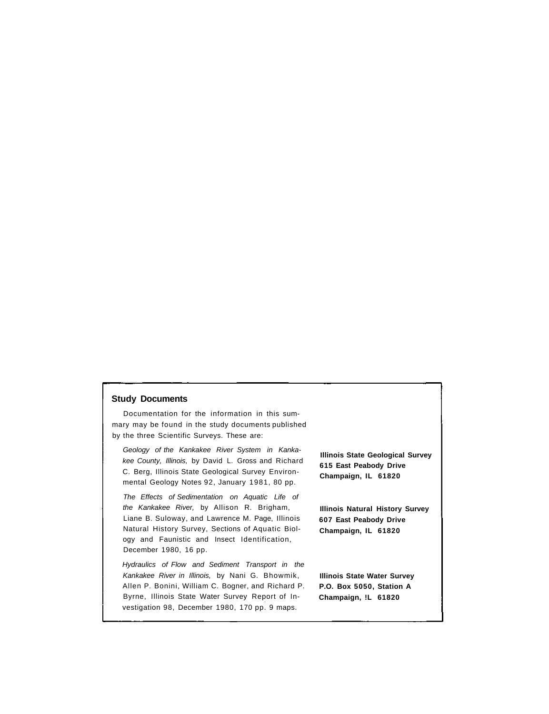#### **Study Documents**

Documentation for the information in this summary may be found in the study documents published by the three Scientific Surveys. These are:

*Geology of the Kankakee River System in Kankakee County, Illinois,* by David L. Gross and Richard C. Berg, Illinois State Geological Survey Environmental Geology Notes 92, January 1981, 80 pp.

*The Effects of Sedimentation on Aquatic Life of the Kankakee River,* by Allison R. Brigham, Liane B. Suloway, and Lawrence M. Page, Illinois Natural History Survey, Sections of Aquatic Biology and Faunistic and Insect Identification, December 1980, 16 pp.

*Hydraulics of Flow and Sediment Transport in the Kankakee River in Illinois,* by Nani G. Bhowmik, Allen P. Bonini, William C. Bogner, and Richard P. Byrne, Illinois State Water Survey Report of Investigation 98, December 1980, 170 pp. 9 maps.

**Illinois State Geological Survey 615 East Peabody Drive Champaign, IL 61820** 

**Illinois Natural History Survey 607 East Peabody Drive Champaign, IL 61820** 

**Illinois State Water Survey P.O. Box 5050, Station A Champaign, !L 61820**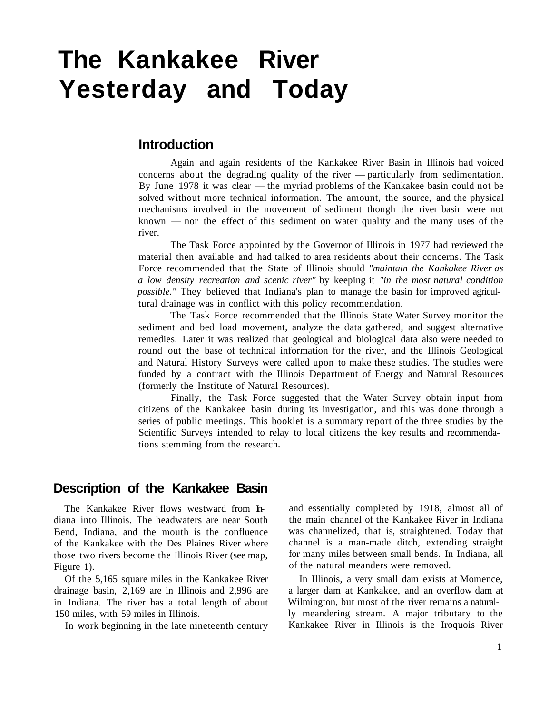# **The Kankakee River Yesterday and Today**

# **Introduction**

Again and again residents of the Kankakee River Basin in Illinois had voiced concerns about the degrading quality of the river — particularly from sedimentation. By June 1978 it was clear — the myriad problems of the Kankakee basin could not be solved without more technical information. The amount, the source, and the physical mechanisms involved in the movement of sediment though the river basin were not known — nor the effect of this sediment on water quality and the many uses of the river.

The Task Force appointed by the Governor of Illinois in 1977 had reviewed the material then available and had talked to area residents about their concerns. The Task Force recommended that the State of Illinois should *"maintain the Kankakee River as a low density recreation and scenic river"* by keeping it *"in the most natural condition possible."* They believed that Indiana's plan to manage the basin for improved agricultural drainage was in conflict with this policy recommendation.

The Task Force recommended that the Illinois State Water Survey monitor the sediment and bed load movement, analyze the data gathered, and suggest alternative remedies. Later it was realized that geological and biological data also were needed to round out the base of technical information for the river, and the Illinois Geological and Natural History Surveys were called upon to make these studies. The studies were funded by a contract with the Illinois Department of Energy and Natural Resources (formerly the Institute of Natural Resources).

Finally, the Task Force suggested that the Water Survey obtain input from citizens of the Kankakee basin during its investigation, and this was done through a series of public meetings. This booklet is a summary report of the three studies by the Scientific Surveys intended to relay to local citizens the key results and recommendations stemming from the research.

# **Description of the Kankakee Basin**

The Kankakee River flows westward from Indiana into Illinois. The headwaters are near South Bend, Indiana, and the mouth is the confluence of the Kankakee with the Des Plaines River where those two rivers become the Illinois River (see map, Figure 1).

Of the 5,165 square miles in the Kankakee River drainage basin, 2,169 are in Illinois and 2,996 are in Indiana. The river has a total length of about 150 miles, with 59 miles in Illinois.

In work beginning in the late nineteenth century

and essentially completed by 1918, almost all of the main channel of the Kankakee River in Indiana was channelized, that is, straightened. Today that channel is a man-made ditch, extending straight for many miles between small bends. In Indiana, all of the natural meanders were removed.

In Illinois, a very small dam exists at Momence, a larger dam at Kankakee, and an overflow dam at Wilmington, but most of the river remains a naturally meandering stream. A major tributary to the Kankakee River in Illinois is the Iroquois River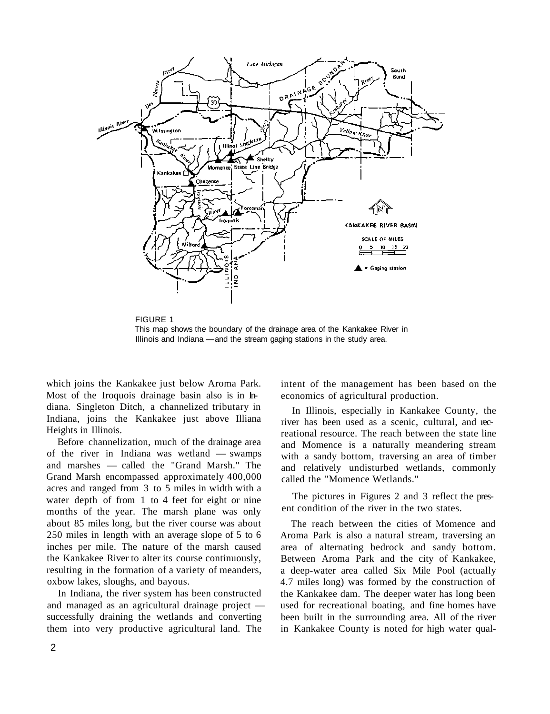

FIGURE 1 This map shows the boundary of the drainage area of the Kankakee River in Illinois and Indiana — and the stream gaging stations in the study area.

which joins the Kankakee just below Aroma Park. Most of the Iroquois drainage basin also is in Indiana. Singleton Ditch, a channelized tributary in Indiana, joins the Kankakee just above Illiana Heights in Illinois.

Before channelization, much of the drainage area of the river in Indiana was wetland — swamps and marshes — called the "Grand Marsh." The Grand Marsh encompassed approximately 400,000 acres and ranged from 3 to 5 miles in width with a water depth of from 1 to 4 feet for eight or nine months of the year. The marsh plane was only about 85 miles long, but the river course was about 250 miles in length with an average slope of 5 to 6 inches per mile. The nature of the marsh caused the Kankakee River to alter its course continuously, resulting in the formation of a variety of meanders, oxbow lakes, sloughs, and bayous.

In Indiana, the river system has been constructed and managed as an agricultural drainage project successfully draining the wetlands and converting them into very productive agricultural land. The

intent of the management has been based on the economics of agricultural production.

In Illinois, especially in Kankakee County, the river has been used as a scenic, cultural, and recreational resource. The reach between the state line and Momence is a naturally meandering stream with a sandy bottom, traversing an area of timber and relatively undisturbed wetlands, commonly called the "Momence Wetlands."

The pictures in Figures 2 and 3 reflect the present condition of the river in the two states.

The reach between the cities of Momence and Aroma Park is also a natural stream, traversing an area of alternating bedrock and sandy bottom. Between Aroma Park and the city of Kankakee, a deep-water area called Six Mile Pool (actually 4.7 miles long) was formed by the construction of the Kankakee dam. The deeper water has long been used for recreational boating, and fine homes have been built in the surrounding area. All of the river in Kankakee County is noted for high water qual-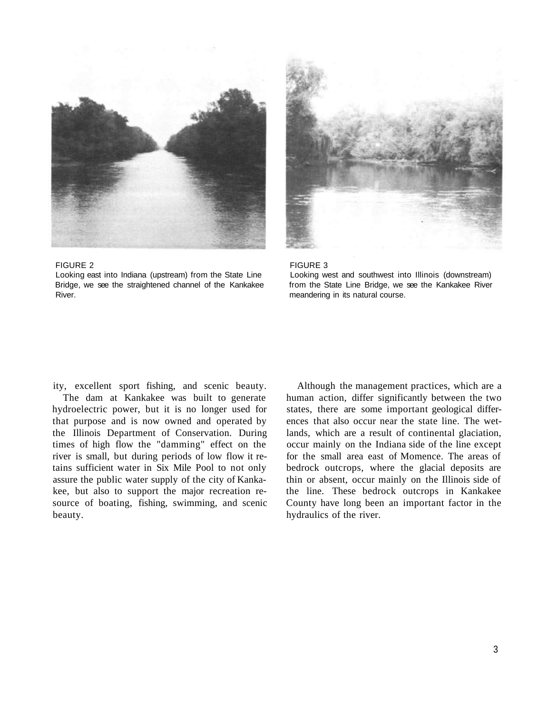



#### FIGURE 2 FIGURE 3

Looking east into Indiana (upstream) from the State Line Looking west and southwest into Illinois (downstream) Bridge, we see the straightened channel of the Kankakee from the State Line Bridge, we see the Kankakee River River. The course is not the meandering in its natural course.

beauty. hydraulics of the river.

ity, excellent sport fishing, and scenic beauty. Although the management practices, which are a The dam at Kankakee was built to generate human action, differ significantly between the two hydroelectric power, but it is no longer used for states, there are some important geological differthat purpose and is now owned and operated by ences that also occur near the state line. The wetthe Illinois Department of Conservation. During lands, which are a result of continental glaciation, times of high flow the "damming" effect on the occur mainly on the Indiana side of the line except river is small, but during periods of low flow it re- for the small area east of Momence. The areas of tains sufficient water in Six Mile Pool to not only bedrock outcrops, where the glacial deposits are assure the public water supply of the city of Kanka- thin or absent, occur mainly on the Illinois side of kee, but also to support the major recreation re- the line. These bedrock outcrops in Kankakee source of boating, fishing, swimming, and scenic County have long been an important factor in the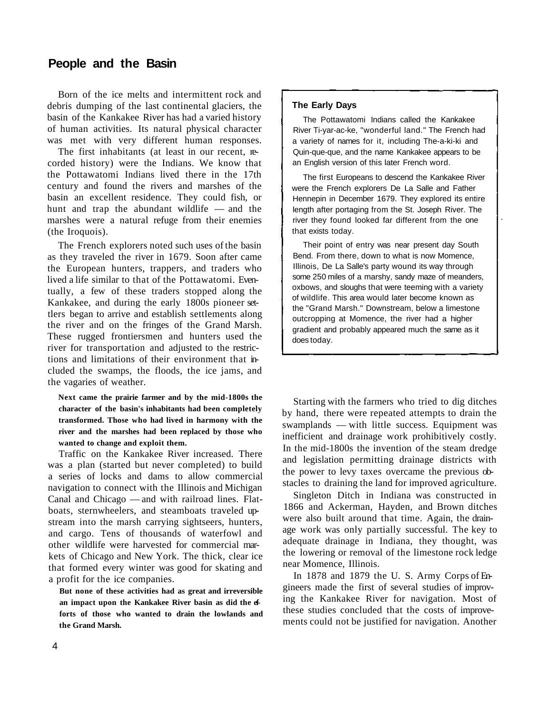# **People and the Basin**

Born of the ice melts and intermittent rock and debris dumping of the last continental glaciers, the basin of the Kankakee River has had a varied history of human activities. Its natural physical character was met with very different human responses.

The first inhabitants (at least in our recent, recorded history) were the Indians. We know that the Pottawatomi Indians lived there in the 17th century and found the rivers and marshes of the basin an excellent residence. They could fish, or hunt and trap the abundant wildlife — and the marshes were a natural refuge from their enemies (the Iroquois).

The French explorers noted such uses of the basin as they traveled the river in 1679. Soon after came the European hunters, trappers, and traders who lived a life similar to that of the Pottawatomi. Eventually, a few of these traders stopped along the Kankakee, and during the early 1800s pioneer settlers began to arrive and establish settlements along the river and on the fringes of the Grand Marsh. These rugged frontiersmen and hunters used the river for transportation and adjusted to the restrictions and limitations of their environment that included the swamps, the floods, the ice jams, and the vagaries of weather.

**Next came the prairie farmer and by the mid-1800s the character of the basin's inhabitants had been completely transformed. Those who had lived in harmony with the river and the marshes had been replaced by those who wanted to change and exploit them.** 

Traffic on the Kankakee River increased. There was a plan (started but never completed) to build a series of locks and dams to allow commercial navigation to connect with the Illinois and Michigan Canal and Chicago — and with railroad lines. Flatboats, sternwheelers, and steamboats traveled upstream into the marsh carrying sightseers, hunters, and cargo. Tens of thousands of waterfowl and other wildlife were harvested for commercial markets of Chicago and New York. The thick, clear ice that formed every winter was good for skating and a profit for the ice companies.

**But none of these activities had as great and irreversible an impact upon the Kankakee River basin as did the efforts of those who wanted to drain the lowlands and the Grand Marsh.** 

#### **The Early Days**

The Pottawatomi Indians called the Kankakee River Ti-yar-ac-ke, "wonderful land." The French had a variety of names for it, including The-a-ki-ki and Quin-que-que, and the name Kankakee appears to be an English version of this later French word.

The first Europeans to descend the Kankakee River were the French explorers De La Salle and Father Hennepin in December 1679. They explored its entire length after portaging from the St. Joseph River. The river they found looked far different from the one that exists today.

Their point of entry was near present day South Bend. From there, down to what is now Momence, Illinois, De La Salle's party wound its way through some 250 miles of a marshy, sandy maze of meanders, oxbows, and sloughs that were teeming with a variety of wildlife. This area would later become known as the "Grand Marsh." Downstream, below a limestone outcropping at Momence, the river had a higher gradient and probably appeared much the same as it does today.

Starting with the farmers who tried to dig ditches by hand, there were repeated attempts to drain the swamplands — with little success. Equipment was inefficient and drainage work prohibitively costly. In the mid-1800s the invention of the steam dredge and legislation permitting drainage districts with the power to levy taxes overcame the previous obstacles to draining the land for improved agriculture.

Singleton Ditch in Indiana was constructed in 1866 and Ackerman, Hayden, and Brown ditches were also built around that time. Again, the drainage work was only partially successful. The key to adequate drainage in Indiana, they thought, was the lowering or removal of the limestone rock ledge near Momence, Illinois.

In 1878 and 1879 the U. S. Army Corps of Engineers made the first of several studies of improving the Kankakee River for navigation. Most of these studies concluded that the costs of improvements could not be justified for navigation. Another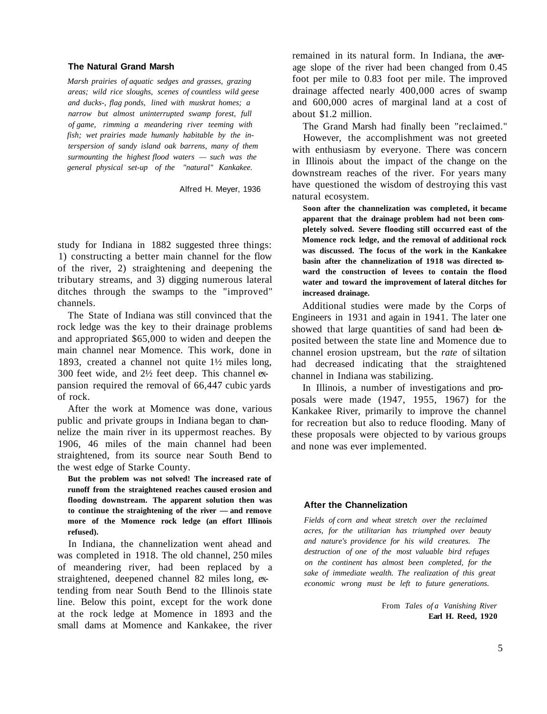#### **The Natural Grand Marsh**

*Marsh prairies of aquatic sedges and grasses, grazing areas; wild rice sloughs, scenes of countless wild geese and ducks-, flag ponds, lined with muskrat homes; a narrow but almost uninterrupted swamp forest, full of game, rimming a meandering river teeming with fish; wet prairies made humanly habitable by the interspersion of sandy island oak barrens, many of them surmounting the highest flood waters — such was the general physical set-up of the "natural" Kankakee.* 

Alfred H. Meyer, 1936

study for Indiana in 1882 suggested three things: 1) constructing a better main channel for the flow of the river, 2) straightening and deepening the tributary streams, and 3) digging numerous lateral ditches through the swamps to the "improved" channels.

The State of Indiana was still convinced that the rock ledge was the key to their drainage problems and appropriated \$65,000 to widen and deepen the main channel near Momence. This work, done in 1893, created a channel not quite 1½ miles long, 300 feet wide, and 2½ feet deep. This channel expansion required the removal of 66,447 cubic yards of rock.

After the work at Momence was done, various public and private groups in Indiana began to channelize the main river in its uppermost reaches. By 1906, 46 miles of the main channel had been straightened, from its source near South Bend to the west edge of Starke County.

**But the problem was not solved! The increased rate of runoff from the straightened reaches caused erosion and flooding downstream. The apparent solution then was to continue the straightening of the river — and remove more of the Momence rock ledge (an effort Illinois refused).** 

In Indiana, the channelization went ahead and was completed in 1918. The old channel, 250 miles of meandering river, had been replaced by a straightened, deepened channel 82 miles long, extending from near South Bend to the Illinois state line. Below this point, except for the work done at the rock ledge at Momence in 1893 and the small dams at Momence and Kankakee, the river

remained in its natural form. In Indiana, the average slope of the river had been changed from 0.45 foot per mile to 0.83 foot per mile. The improved drainage affected nearly 400,000 acres of swamp and 600,000 acres of marginal land at a cost of about \$1.2 million.

The Grand Marsh had finally been "reclaimed."

However, the accomplishment was not greeted with enthusiasm by everyone. There was concern in Illinois about the impact of the change on the downstream reaches of the river. For years many have questioned the wisdom of destroying this vast natural ecosystem.

**Soon after the channelization was completed, it became apparent that the drainage problem had not been completely solved. Severe flooding still occurred east of the Momence rock ledge, and the removal of additional rock was discussed. The focus of the work in the Kankakee basin after the channelization of 1918 was directed toward the construction of levees to contain the flood water and toward the improvement of lateral ditches for increased drainage.** 

Additional studies were made by the Corps of Engineers in 1931 and again in 1941. The later one showed that large quantities of sand had been deposited between the state line and Momence due to channel erosion upstream, but the *rate* of siltation had decreased indicating that the straightened channel in Indiana was stabilizing.

In Illinois, a number of investigations and proposals were made (1947, 1955, 1967) for the Kankakee River, primarily to improve the channel for recreation but also to reduce flooding. Many of these proposals were objected to by various groups and none was ever implemented.

#### **After the Channelization**

*Fields of corn and wheat stretch over the reclaimed acres, for the utilitarian has triumphed over beauty and nature's providence for his wild creatures. The destruction of one of the most valuable bird refuges on the continent has almost been completed, for the sake of immediate wealth. The realization of this great economic wrong must be left to future generations.* 

> From *Tales of a Vanishing River*  **Earl H. Reed, 1920**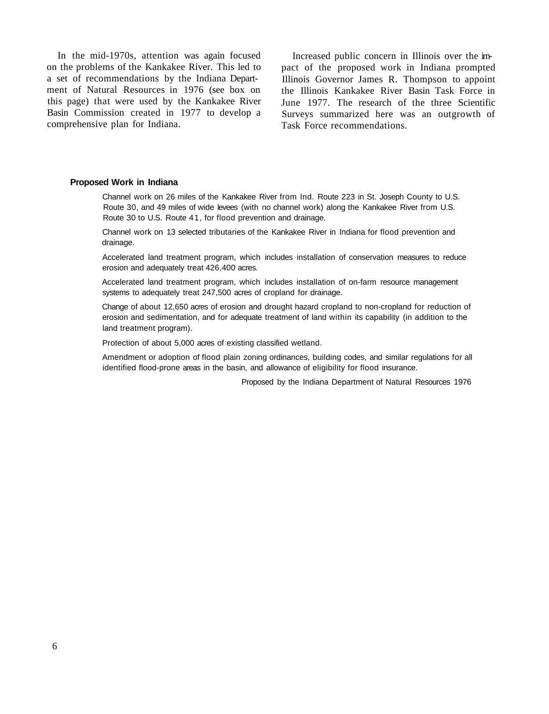In the mid-1970s, attention was again focused on the problems of the Kankakee River. This led to a set of recommendations by the Indiana Department of Natural Resources in 1976 (see box on this page) that were used by the Kankakee River Basin Commission created in 1977 to develop a comprehensive plan for Indiana.

Increased public concern in Illinois over the impact of the proposed work in Indiana prompted Illinois Governor James R. Thompson to appoint the Illinois Kankakee River Basin Task Force in June 1977. The research of the three Scientific Surveys summarized here was an outgrowth of Task Force recommendations.

#### **Proposed Work in Indiana**

Channel work on 26 miles of the Kankakee River from Ind. Route 223 in St. Joseph County to U.S. Route 30, and 49 miles of wide levees (with no channel work) along the Kankakee River from U.S. Route 30 to U.S. Route 41, for flood prevention and drainage.

Channel work on 13 selected tributaries of the Kankakee River in Indiana for flood prevention and drainage.

Accelerated land treatment program, which includes installation of conservation measures to reduce erosion and adequately treat 426,400 acres.

Accelerated land treatment program, which includes installation of on-farm resource management systems to adequately treat 247,500 acres of cropland for drainage.

Change of about 12,650 acres of erosion and drought hazard cropland to non-cropland for reduction of erosion and sedimentation, and for adequate treatment of land within its capability (in addition to the land treatment program).

Protection of about 5,000 acres of existing classified wetland.

Amendment or adoption of flood plain zoning ordinances, building codes, and similar regulations for all identified flood-prone areas in the basin, and allowance of eligibility for flood insurance.

Proposed by the Indiana Department of Natural Resources 1976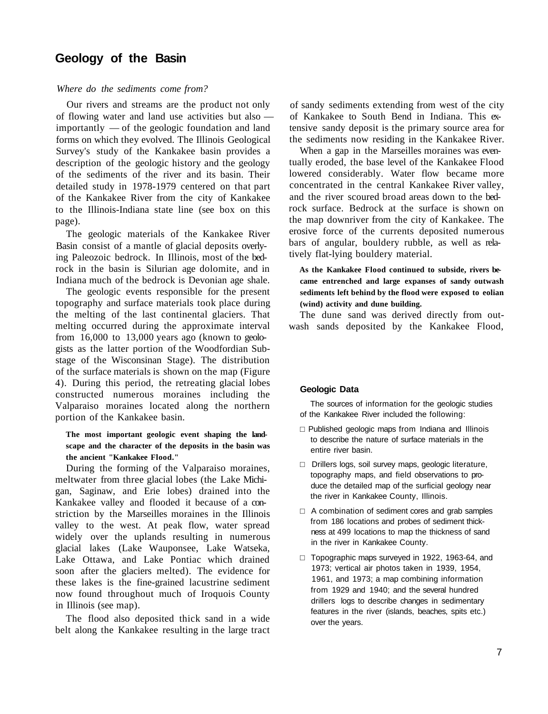# **Geology of the Basin**

#### *Where do the sediments come from?*

Our rivers and streams are the product not only of flowing water and land use activities but also importantly — of the geologic foundation and land forms on which they evolved. The Illinois Geological Survey's study of the Kankakee basin provides a description of the geologic history and the geology of the sediments of the river and its basin. Their detailed study in 1978-1979 centered on that part of the Kankakee River from the city of Kankakee to the Illinois-Indiana state line (see box on this page).

The geologic materials of the Kankakee River Basin consist of a mantle of glacial deposits overlying Paleozoic bedrock. In Illinois, most of the bedrock in the basin is Silurian age dolomite, and in Indiana much of the bedrock is Devonian age shale.

The geologic events responsible for the present topography and surface materials took place during the melting of the last continental glaciers. That melting occurred during the approximate interval from 16,000 to 13,000 years ago (known to geologists as the latter portion of the Woodfordian Substage of the Wisconsinan Stage). The distribution of the surface materials is shown on the map (Figure 4). During this period, the retreating glacial lobes constructed numerous moraines including the Valparaiso moraines located along the northern portion of the Kankakee basin.

#### **The most important geologic event shaping the landscape and the character of the deposits in the basin was the ancient "Kankakee Flood."**

During the forming of the Valparaiso moraines, meltwater from three glacial lobes (the Lake Michigan, Saginaw, and Erie lobes) drained into the Kankakee valley and flooded it because of a constriction by the Marseilles moraines in the Illinois valley to the west. At peak flow, water spread widely over the uplands resulting in numerous glacial lakes (Lake Wauponsee, Lake Watseka, Lake Ottawa, and Lake Pontiac which drained soon after the glaciers melted). The evidence for these lakes is the fine-grained lacustrine sediment now found throughout much of Iroquois County in Illinois (see map).

The flood also deposited thick sand in a wide belt along the Kankakee resulting in the large tract of sandy sediments extending from west of the city of Kankakee to South Bend in Indiana. This extensive sandy deposit is the primary source area for the sediments now residing in the Kankakee River.

When a gap in the Marseilles moraines was eventually eroded, the base level of the Kankakee Flood lowered considerably. Water flow became more concentrated in the central Kankakee River valley, and the river scoured broad areas down to the bedrock surface. Bedrock at the surface is shown on the map downriver from the city of Kankakee. The erosive force of the currents deposited numerous bars of angular, bouldery rubble, as well as relatively flat-lying bouldery material.

**As the Kankakee Flood continued to subside, rivers became entrenched and large expanses of sandy outwash sediments left behind by the flood were exposed to eolian (wind) activity and dune building.** 

The dune sand was derived directly from outwash sands deposited by the Kankakee Flood,

#### **Geologic Data**

The sources of information for the geologic studies of the Kankakee River included the following:

 Published geologic maps from Indiana and Illinois to describe the nature of surface materials in the entire river basin.

 Drillers logs, soil survey maps, geologic literature, topography maps, and field observations to produce the detailed map of the surficial geology near the river in Kankakee County, Illinois.

 A combination of sediment cores and grab samples from 186 locations and probes of sediment thickness at 499 locations to map the thickness of sand in the river in Kankakee County.

 Topographic maps surveyed in 1922, 1963-64, and 1973; vertical air photos taken in 1939, 1954, 1961, and 1973; a map combining information from 1929 and 1940; and the several hundred drillers logs to describe changes in sedimentary features in the river (islands, beaches, spits etc.) over the years.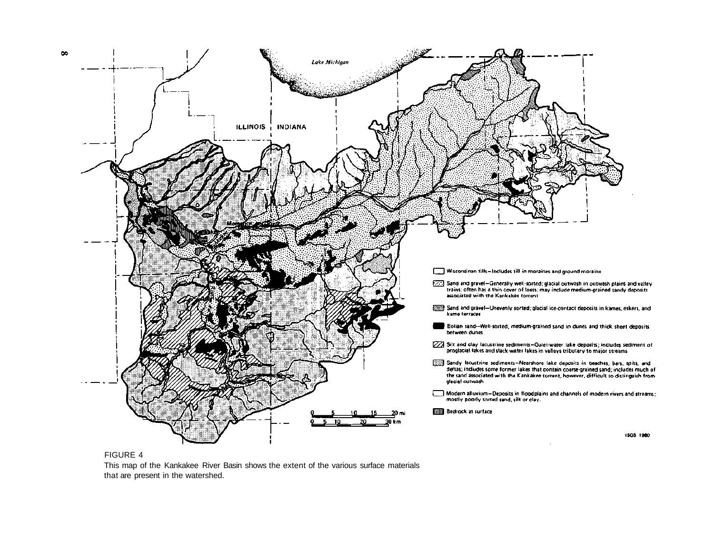

FIGURE 4

This map of the Kankakee River Basin shows the extent of the various surface materials that are present in the watershed.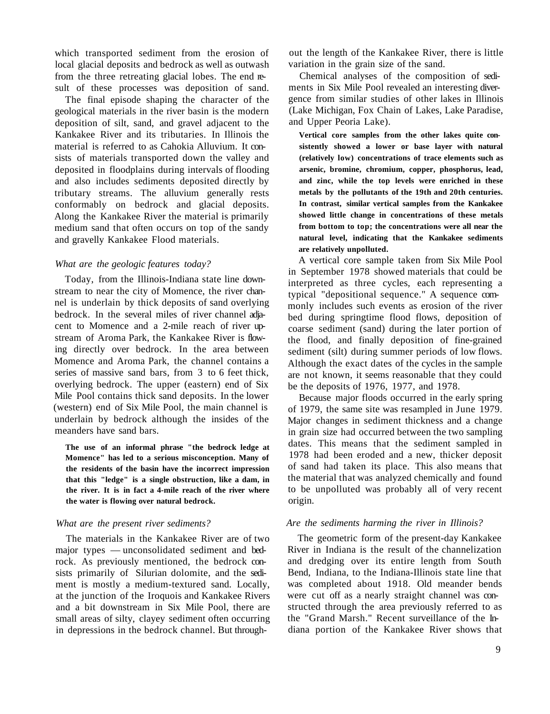which transported sediment from the erosion of local glacial deposits and bedrock as well as outwash from the three retreating glacial lobes. The end result of these processes was deposition of sand.

The final episode shaping the character of the geological materials in the river basin is the modern deposition of silt, sand, and gravel adjacent to the Kankakee River and its tributaries. In Illinois the material is referred to as Cahokia Alluvium. It consists of materials transported down the valley and deposited in floodplains during intervals of flooding and also includes sediments deposited directly by tributary streams. The alluvium generally rests conformably on bedrock and glacial deposits. Along the Kankakee River the material is primarily medium sand that often occurs on top of the sandy and gravelly Kankakee Flood materials.

#### *What are the geologic features today?*

Today, from the Illinois-Indiana state line downstream to near the city of Momence, the river channel is underlain by thick deposits of sand overlying bedrock. In the several miles of river channel adjacent to Momence and a 2-mile reach of river upstream of Aroma Park, the Kankakee River is flowing directly over bedrock. In the area between Momence and Aroma Park, the channel contains a series of massive sand bars, from 3 to 6 feet thick, overlying bedrock. The upper (eastern) end of Six Mile Pool contains thick sand deposits. In the lower (western) end of Six Mile Pool, the main channel is underlain by bedrock although the insides of the meanders have sand bars.

**The use of an informal phrase "the bedrock ledge at Momence" has led to a serious misconception. Many of the residents of the basin have the incorrect impression that this "ledge" is a single obstruction, like a dam, in the river. It is in fact a 4-mile reach of the river where the water is flowing over natural bedrock.** 

#### *What are the present river sediments?*

The materials in the Kankakee River are of two major types — unconsolidated sediment and bedrock. As previously mentioned, the bedrock consists primarily of Silurian dolomite, and the sediment is mostly a medium-textured sand. Locally, at the junction of the Iroquois and Kankakee Rivers and a bit downstream in Six Mile Pool, there are small areas of silty, clayey sediment often occurring in depressions in the bedrock channel. But through-

out the length of the Kankakee River, there is little variation in the grain size of the sand.

Chemical analyses of the composition of sediments in Six Mile Pool revealed an interesting divergence from similar studies of other lakes in Illinois (Lake Michigan, Fox Chain of Lakes, Lake Paradise, and Upper Peoria Lake).

**Vertical core samples from the other lakes quite consistently showed a lower or base layer with natural (relatively low) concentrations of trace elements such as arsenic, bromine, chromium, copper, phosphorus, lead, and zinc, while the top levels were enriched in these metals by the pollutants of the 19th and 20th centuries. In contrast, similar vertical samples from the Kankakee showed little change in concentrations of these metals from bottom to top; the concentrations were all near the natural level, indicating that the Kankakee sediments are relatively unpolluted.** 

A vertical core sample taken from Six Mile Pool in September 1978 showed materials that could be interpreted as three cycles, each representing a typical "depositional sequence." A sequence commonly includes such events as erosion of the river bed during springtime flood flows, deposition of coarse sediment (sand) during the later portion of the flood, and finally deposition of fine-grained sediment (silt) during summer periods of low flows. Although the exact dates of the cycles in the sample are not known, it seems reasonable that they could be the deposits of 1976, 1977, and 1978.

Because major floods occurred in the early spring of 1979, the same site was resampled in June 1979. Major changes in sediment thickness and a change in grain size had occurred between the two sampling dates. This means that the sediment sampled in 1978 had been eroded and a new, thicker deposit of sand had taken its place. This also means that the material that was analyzed chemically and found to be unpolluted was probably all of very recent origin.

#### *Are the sediments harming the river in Illinois?*

The geometric form of the present-day Kankakee River in Indiana is the result of the channelization and dredging over its entire length from South Bend, Indiana, to the Indiana-Illinois state line that was completed about 1918. Old meander bends were cut off as a nearly straight channel was constructed through the area previously referred to as the "Grand Marsh." Recent surveillance of the Indiana portion of the Kankakee River shows that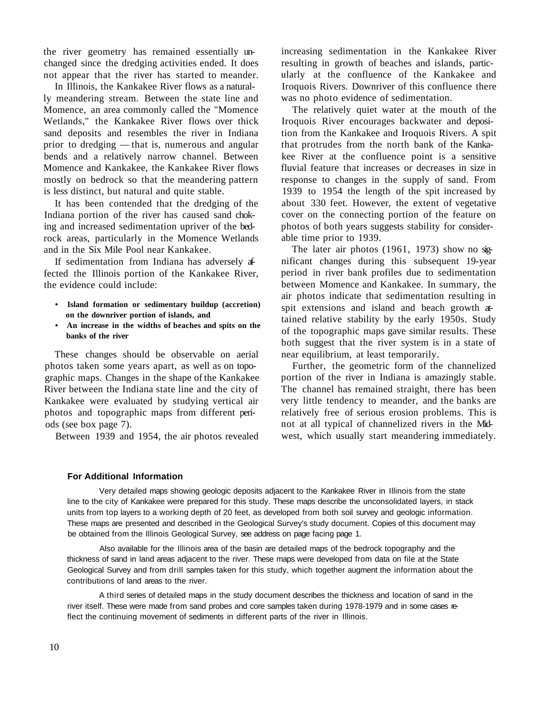the river geometry has remained essentially unchanged since the dredging activities ended. It does not appear that the river has started to meander.

In Illinois, the Kankakee River flows as a naturally meandering stream. Between the state line and Momence, an area commonly called the "Momence Wetlands," the Kankakee River flows over thick sand deposits and resembles the river in Indiana prior to dredging — that is, numerous and angular bends and a relatively narrow channel. Between Momence and Kankakee, the Kankakee River flows mostly on bedrock so that the meandering pattern is less distinct, but natural and quite stable.

It has been contended that the dredging of the Indiana portion of the river has caused sand choking and increased sedimentation upriver of the bedrock areas, particularly in the Momence Wetlands and in the Six Mile Pool near Kankakee.

If sedimentation from Indiana has adversely affected the Illinois portion of the Kankakee River, the evidence could include:

- **Island formation or sedimentary buildup (accretion) on the downriver portion of islands, and**
- **An increase in the widths of beaches and spits on the banks of the river**

These changes should be observable on aerial photos taken some years apart, as well as on topographic maps. Changes in the shape of the Kankakee River between the Indiana state line and the city of Kankakee were evaluated by studying vertical air photos and topographic maps from different periods (see box page 7).

Between 1939 and 1954, the air photos revealed

increasing sedimentation in the Kankakee River resulting in growth of beaches and islands, particularly at the confluence of the Kankakee and Iroquois Rivers. Downriver of this confluence there was no photo evidence of sedimentation.

The relatively quiet water at the mouth of the Iroquois River encourages backwater and deposition from the Kankakee and Iroquois Rivers. A spit that protrudes from the north bank of the Kankakee River at the confluence point is a sensitive fluvial feature that increases or decreases in size in response to changes in the supply of sand. From 1939 to 1954 the length of the spit increased by about 330 feet. However, the extent of vegetative cover on the connecting portion of the feature on photos of both years suggests stability for considerable time prior to 1939.

The later air photos (1961, 1973) show no significant changes during this subsequent 19-year period in river bank profiles due to sedimentation between Momence and Kankakee. In summary, the air photos indicate that sedimentation resulting in spit extensions and island and beach growth attained relative stability by the early 1950s. Study of the topographic maps gave similar results. These both suggest that the river system is in a state of near equilibrium, at least temporarily.

Further, the geometric form of the channelized portion of the river in Indiana is amazingly stable. The channel has remained straight, there has been very little tendency to meander, and the banks are relatively free of serious erosion problems. This is not at all typical of channelized rivers in the Midwest, which usually start meandering immediately.

#### **For Additional Information**

Very detailed maps showing geologic deposits adjacent to the Kankakee River in Illinois from the state line to the city of Kankakee were prepared for this study. These maps describe the unconsolidated layers, in stack units from top layers to a working depth of 20 feet, as developed from both soil survey and geologic information. These maps are presented and described in the Geological Survey's study document. Copies of this document may be obtained from the Illinois Geological Survey, see address on page facing page 1.

Also available for the Illinois area of the basin are detailed maps of the bedrock topography and the thickness of sand in land areas adjacent to the river. These maps were developed from data on file at the State Geological Survey and from drill samples taken for this study, which together augment the information about the contributions of land areas to the river.

A third series of detailed maps in the study document describes the thickness and location of sand in the river itself. These were made from sand probes and core samples taken during 1978-1979 and in some cases reflect the continuing movement of sediments in different parts of the river in Illinois.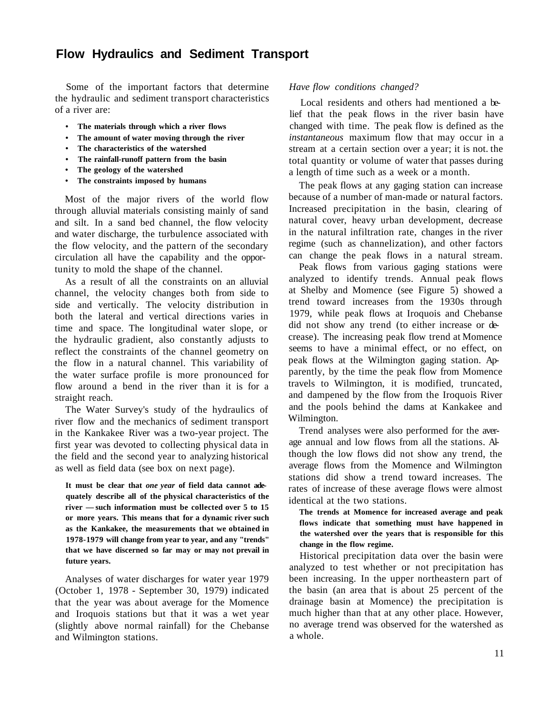# **Flow Hydraulics and Sediment Transport**

Some of the important factors that determine the hydraulic and sediment transport characteristics of a river are:

- **The materials through which a river flows**
- **The amount of water moving through the river**
- **The characteristics of the watershed**
- **The rainfall-runoff pattern from the basin**
- **The geology of the watershed**
- **The constraints imposed by humans**

Most of the major rivers of the world flow through alluvial materials consisting mainly of sand and silt. In a sand bed channel, the flow velocity and water discharge, the turbulence associated with the flow velocity, and the pattern of the secondary circulation all have the capability and the opportunity to mold the shape of the channel.

As a result of all the constraints on an alluvial channel, the velocity changes both from side to side and vertically. The velocity distribution in both the lateral and vertical directions varies in time and space. The longitudinal water slope, or the hydraulic gradient, also constantly adjusts to reflect the constraints of the channel geometry on the flow in a natural channel. This variability of the water surface profile is more pronounced for flow around a bend in the river than it is for a straight reach.

The Water Survey's study of the hydraulics of river flow and the mechanics of sediment transport in the Kankakee River was a two-year project. The first year was devoted to collecting physical data in the field and the second year to analyzing historical as well as field data (see box on next page).

**It must be clear that** *one year* **of field data cannot adequately describe all of the physical characteristics of the river — such information must be collected over 5 to 15 or more years. This means that for a dynamic river such as the Kankakee, the measurements that we obtained in 1978-1979 will change from year to year, and any "trends" that we have discerned so far may or may not prevail in future years.** 

Analyses of water discharges for water year 1979 (October 1, 1978 - September 30, 1979) indicated that the year was about average for the Momence and Iroquois stations but that it was a wet year (slightly above normal rainfall) for the Chebanse and Wilmington stations.

#### *Have flow conditions changed?*

Local residents and others had mentioned a belief that the peak flows in the river basin have changed with time. The peak flow is defined as the *instantaneous* maximum flow that may occur in a stream at a certain section over a year; it is not. the total quantity or volume of water that passes during a length of time such as a week or a month.

The peak flows at any gaging station can increase because of a number of man-made or natural factors. Increased precipitation in the basin, clearing of natural cover, heavy urban development, decrease in the natural infiltration rate, changes in the river regime (such as channelization), and other factors can change the peak flows in a natural stream.

Peak flows from various gaging stations were analyzed to identify trends. Annual peak flows at Shelby and Momence (see Figure 5) showed a trend toward increases from the 1930s through 1979, while peak flows at Iroquois and Chebanse did not show any trend (to either increase or decrease). The increasing peak flow trend at Momence seems to have a minimal effect, or no effect, on peak flows at the Wilmington gaging station. Apparently, by the time the peak flow from Momence travels to Wilmington, it is modified, truncated, and dampened by the flow from the Iroquois River and the pools behind the dams at Kankakee and Wilmington.

Trend analyses were also performed for the average annual and low flows from all the stations. Although the low flows did not show any trend, the average flows from the Momence and Wilmington stations did show a trend toward increases. The rates of increase of these average flows were almost identical at the two stations.

**The trends at Momence for increased average and peak flows indicate that something must have happened in the watershed over the years that is responsible for this change in the flow regime.** 

Historical precipitation data over the basin were analyzed to test whether or not precipitation has been increasing. In the upper northeastern part of the basin (an area that is about 25 percent of the drainage basin at Momence) the precipitation is much higher than that at any other place. However, no average trend was observed for the watershed as a whole.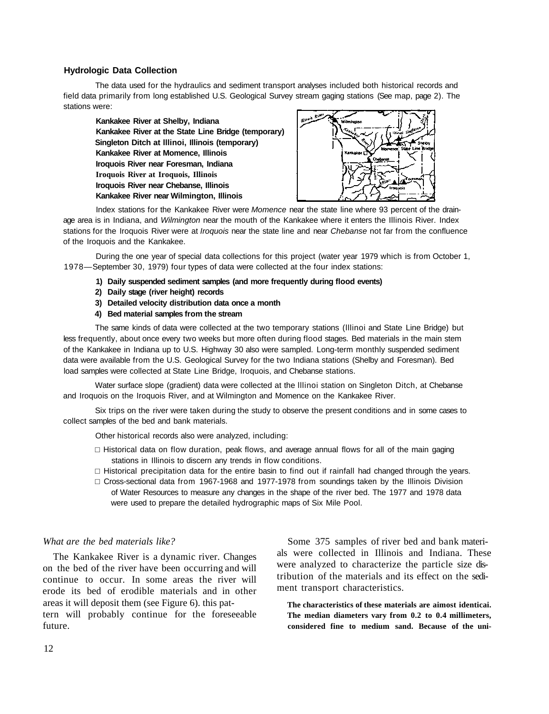#### **Hydrologic Data Collection**

The data used for the hydraulics and sediment transport analyses included both historical records and field data primarily from long established U.S. Geological Survey stream gaging stations (See map, page 2). The stations were:

**Kankakee River at Shelby, Indiana Kankakee River at the State Line Bridge (temporary) Singleton Ditch at lllinoi, Illinois (temporary) Kankakee River at Momence, Illinois Iroquois River near Foresman, Indiana Iroquois River at Iroquois, Illinois Iroquois River near Chebanse, Illinois Kankakee River near Wilmington, Illinois** 



Index stations for the Kankakee River were *Momence* near the state line where 93 percent of the drainage area is in Indiana, and *Wilmington* near the mouth of the Kankakee where it enters the Illinois River. Index stations for the Iroquois River were at *Iroquois* near the state line and near *Chebanse* not far from the confluence of the Iroquois and the Kankakee.

During the one year of special data collections for this project (water year 1979 which is from October 1, 1978— September 30, 1979) four types of data were collected at the four index stations:

- **1) Daily suspended sediment samples (and more frequently during flood events)**
- **2) Daily stage (river height) records**
- **3) Detailed velocity distribution data once a month**
- **4) Bed material samples from the stream**

The same kinds of data were collected at the two temporary stations (lllinoi and State Line Bridge) but less frequently, about once every two weeks but more often during flood stages. Bed materials in the main stem of the Kankakee in Indiana up to U.S. Highway 30 also were sampled. Long-term monthly suspended sediment data were available from the U.S. Geological Survey for the two Indiana stations (Shelby and Foresman). Bed load samples were collected at State Line Bridge, Iroquois, and Chebanse stations.

Water surface slope (gradient) data were collected at the lllinoi station on Singleton Ditch, at Chebanse and Iroquois on the Iroquois River, and at Wilmington and Momence on the Kankakee River.

Six trips on the river were taken during the study to observe the present conditions and in some cases to collect samples of the bed and bank materials.

Other historical records also were analyzed, including:

 Historical data on flow duration, peak flows, and average annual flows for all of the main gaging stations in Illinois to discern any trends in flow conditions.

 Historical precipitation data for the entire basin to find out if rainfall had changed through the years. Cross-sectional data from 1967-1968 and 1977-1978 from soundings taken by the Illinois Division of Water Resources to measure any changes in the shape of the river bed. The 1977 and 1978 data were used to prepare the detailed hydrographic maps of Six Mile Pool.

#### *What are the bed materials like?*

The Kankakee River is a dynamic river. Changes on the bed of the river have been occurring and will continue to occur. In some areas the river will erode its bed of erodible materials and in other areas it will deposit them (see Figure 6). this pattern will probably continue for the foreseeable future.

Some 375 samples of river bed and bank materials were collected in Illinois and Indiana. These were analyzed to characterize the particle size distribution of the materials and its effect on the sediment transport characteristics.

**The characteristics of these materials are aimost identicai. The median diameters vary from 0.2 to 0.4 millimeters, considered fine to medium sand. Because of the uni-**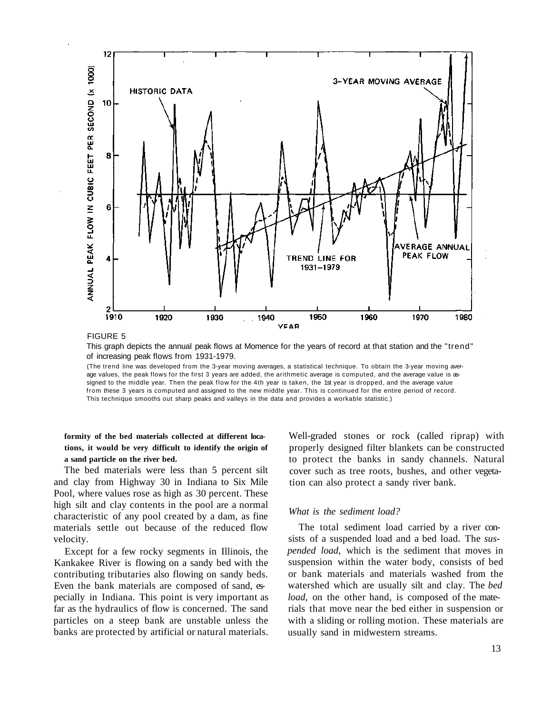

FIGURE 5

This graph depicts the annual peak flows at Momence for the years of record at that station and the "trend" of increasing peak flows from 1931-1979.

(The trend line was developed from the 3-year moving averages, a statistical technique. To obtain the 3-year moving average values, the peak flows for the first 3 years are added, the arithmetic average is computed, and the average value is assigned to the middle year. Then the peak flow for the 4th year is taken, the 1st year is dropped, and the average value from these 3 years is computed and assigned to the new middle year. This is continued for the entire period of record. This technique smooths out sharp peaks and valleys in the data and provides a workable statistic.)

**formity of the bed materials collected at different locations, it would be very difficult to identify the origin of a sand particle on the river bed.** 

The bed materials were less than 5 percent silt and clay from Highway 30 in Indiana to Six Mile Pool, where values rose as high as 30 percent. These high silt and clay contents in the pool are a normal characteristic of any pool created by a dam, as fine materials settle out because of the reduced flow velocity.

Except for a few rocky segments in Illinois, the Kankakee River is flowing on a sandy bed with the contributing tributaries also flowing on sandy beds. Even the bank materials are composed of sand, especially in Indiana. This point is very important as far as the hydraulics of flow is concerned. The sand particles on a steep bank are unstable unless the banks are protected by artificial or natural materials.

Well-graded stones or rock (called riprap) with properly designed filter blankets can be constructed to protect the banks in sandy channels. Natural cover such as tree roots, bushes, and other vegetation can also protect a sandy river bank.

#### *What is the sediment load?*

The total sediment load carried by a river consists of a suspended load and a bed load. The *suspended load,* which is the sediment that moves in suspension within the water body, consists of bed or bank materials and materials washed from the watershed which are usually silt and clay. The *bed load*, on the other hand, is composed of the materials that move near the bed either in suspension or with a sliding or rolling motion. These materials are usually sand in midwestern streams.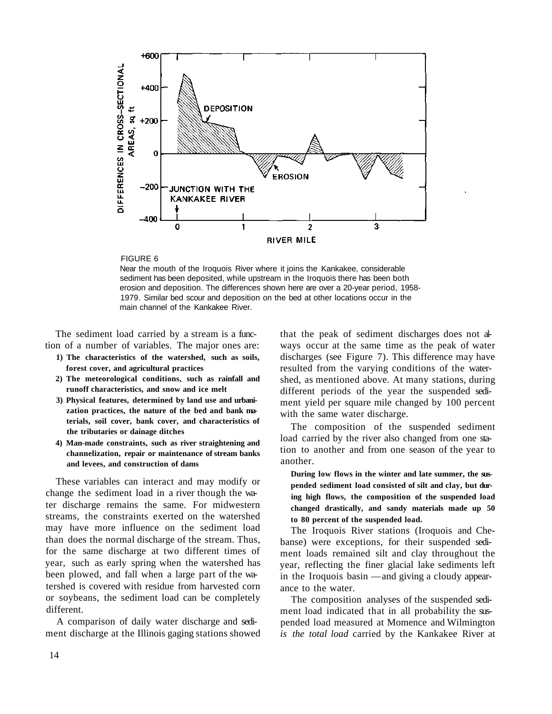

#### FIGURE 6

Near the mouth of the Iroquois River where it joins the Kankakee, considerable sediment has been deposited, while upstream in the Iroquois there has been both erosion and deposition. The differences shown here are over a 20-year period, 1958- 1979. Similar bed scour and deposition on the bed at other locations occur in the main channel of the Kankakee River.

The sediment load carried by a stream is a function of a number of variables. The major ones are:

- **1) The characteristics of the watershed, such as soils, forest cover, and agricultural practices**
- **2) The meteorological conditions, such as rainfall and runoff characteristics, and snow and ice melt**
- **3) Physical features, determined by land use and urbanization practices, the nature of the bed and bank materials, soil cover, bank cover, and characteristics of the tributaries or dainage ditches**
- **4) Man-made constraints, such as river straightening and channelization, repair or maintenance of stream banks and levees, and construction of dams**

These variables can interact and may modify or change the sediment load in a river though the water discharge remains the same. For midwestern streams, the constraints exerted on the watershed may have more influence on the sediment load than does the normal discharge of the stream. Thus, for the same discharge at two different times of year, such as early spring when the watershed has been plowed, and fall when a large part of the watershed is covered with residue from harvested corn or soybeans, the sediment load can be completely different.

A comparison of daily water discharge and sediment discharge at the Illinois gaging stations showed that the peak of sediment discharges does not always occur at the same time as the peak of water discharges (see Figure 7). This difference may have resulted from the varying conditions of the watershed, as mentioned above. At many stations, during different periods of the year the suspended sediment yield per square mile changed by 100 percent with the same water discharge.

The composition of the suspended sediment load carried by the river also changed from one station to another and from one season of the year to another.

**During low flows in the winter and late summer, the suspended sediment load consisted of silt and clay, but during high flows, the composition of the suspended load changed drastically, and sandy materials made up 50 to 80 percent of the suspended load.** 

The Iroquois River stations (Iroquois and Chebanse) were exceptions, for their suspended sediment loads remained silt and clay throughout the year, reflecting the finer glacial lake sediments left in the Iroquois basin — and giving a cloudy appearance to the water.

The composition analyses of the suspended sediment load indicated that in all probability the suspended load measured at Momence and Wilmington *is the total load* carried by the Kankakee River at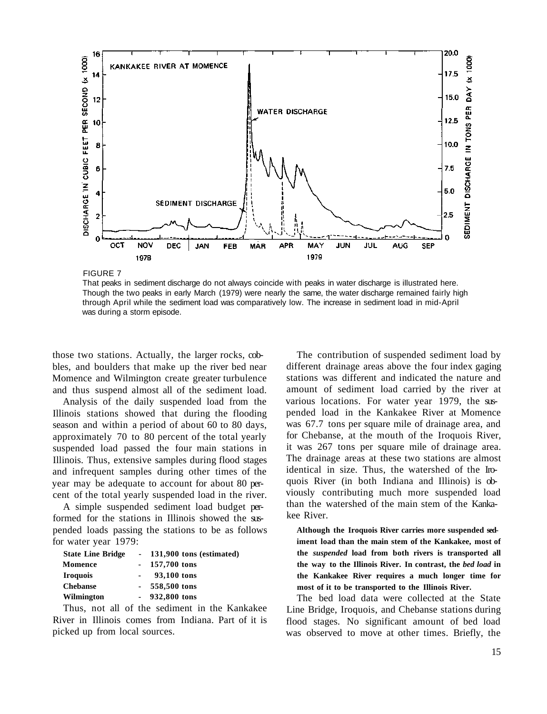

FIGURE 7

That peaks in sediment discharge do not always coincide with peaks in water discharge is illustrated here. Though the two peaks in early March (1979) were nearly the same, the water discharge remained fairly high through April while the sediment load was comparatively low. The increase in sediment load in mid-April was during a storm episode.

those two stations. Actually, the larger rocks, cobbles, and boulders that make up the river bed near Momence and Wilmington create greater turbulence and thus suspend almost all of the sediment load.

Analysis of the daily suspended load from the Illinois stations showed that during the flooding season and within a period of about 60 to 80 days, approximately 70 to 80 percent of the total yearly suspended load passed the four main stations in Illinois. Thus, extensive samples during flood stages and infrequent samples during other times of the year may be adequate to account for about 80 percent of the total yearly suspended load in the river.

A simple suspended sediment load budget performed for the stations in Illinois showed the suspended loads passing the stations to be as follows for water year 1979:

| 131,900 tons (estimated) |
|--------------------------|
|                          |
|                          |
|                          |
|                          |
|                          |

Thus, not all of the sediment in the Kankakee River in Illinois comes from Indiana. Part of it is picked up from local sources.

The contribution of suspended sediment load by different drainage areas above the four index gaging stations was different and indicated the nature and amount of sediment load carried by the river at various locations. For water year 1979, the suspended load in the Kankakee River at Momence was 67.7 tons per square mile of drainage area, and for Chebanse, at the mouth of the Iroquois River, it was 267 tons per square mile of drainage area. The drainage areas at these two stations are almost identical in size. Thus, the watershed of the Iroquois River (in both Indiana and Illinois) is obviously contributing much more suspended load than the watershed of the main stem of the Kankakee River.

**Although the Iroquois River carries more suspended sediment load than the main stem of the Kankakee, most of the** *suspended* **load from both rivers is transported all the way to the Illinois River. In contrast, the** *bed load* **in the Kankakee River requires a much longer time for most of it to be transported to the Illinois River.** 

The bed load data were collected at the State Line Bridge, Iroquois, and Chebanse stations during flood stages. No significant amount of bed load was observed to move at other times. Briefly, the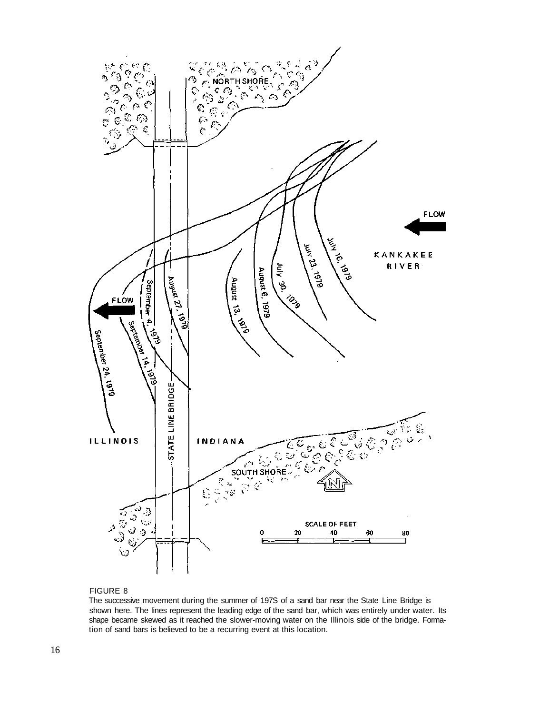

#### FIGURE 8

The successive movement during the summer of 197S of a sand bar near the State Line Bridge is shown here. The lines represent the leading edge of the sand bar, which was entirely under water. Its shape became skewed as it reached the slower-moving water on the Illinois side of the bridge. Formation of sand bars is believed to be a recurring event at this location.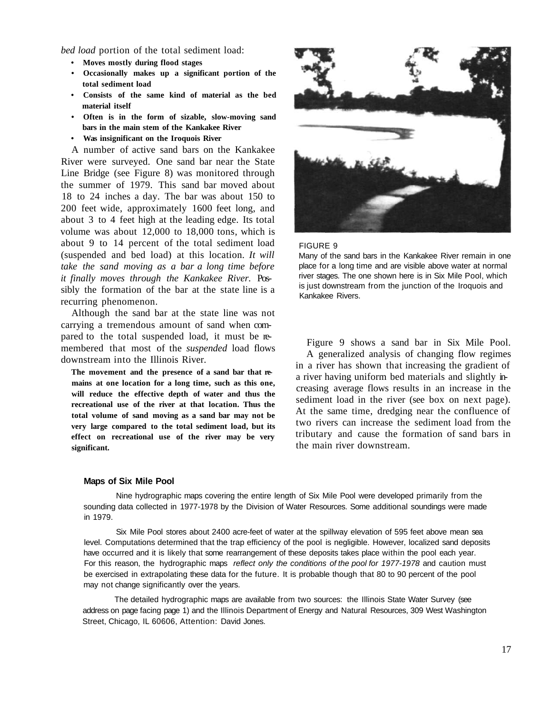*bed load* portion of the total sediment load:

- **Moves mostly during flood stages**
- **Occasionally makes up a significant portion of the total sediment load**
- **Consists of the same kind of material as the bed material itself**
- **Often is in the form of sizable, slow-moving sand bars in the main stem of the Kankakee River**
- **Was insignificant on the Iroquois River**

A number of active sand bars on the Kankakee River were surveyed. One sand bar near the State Line Bridge (see Figure 8) was monitored through the summer of 1979. This sand bar moved about 18 to 24 inches a day. The bar was about 150 to 200 feet wide, approximately 1600 feet long, and about 3 to 4 feet high at the leading edge. Its total volume was about 12,000 to 18,000 tons, which is about 9 to 14 percent of the total sediment load (suspended and bed load) at this location. *It will take the sand moving as a bar a long time before it finally moves through the Kankakee River.* Possibly the formation of the bar at the state line is a recurring phenomenon.

Although the sand bar at the state line was not carrying a tremendous amount of sand when compared to the total suspended load, it must be remembered that most of the *suspended* load flows downstream into the Illinois River.

**The movement and the presence of a sand bar that remains at one location for a long time, such as this one, will reduce the effective depth of water and thus the recreational use of the river at that location. Thus the total volume of sand moving as a sand bar may not be very large compared to the total sediment load, but its effect on recreational use of the river may be very significant.** 





Many of the sand bars in the Kankakee River remain in one place for a long time and are visible above water at normal river stages. The one shown here is in Six Mile Pool, which is just downstream from the junction of the Iroquois and Kankakee Rivers.

Figure 9 shows a sand bar in Six Mile Pool. A generalized analysis of changing flow regimes in a river has shown that increasing the gradient of a river having uniform bed materials and slightly increasing average flows results in an increase in the sediment load in the river (see box on next page). At the same time, dredging near the confluence of two rivers can increase the sediment load from the tributary and cause the formation of sand bars in the main river downstream.

#### **Maps of Six Mile Pool**

Nine hydrographic maps covering the entire length of Six Mile Pool were developed primarily from the sounding data collected in 1977-1978 by the Division of Water Resources. Some additional soundings were made in 1979.

Six Mile Pool stores about 2400 acre-feet of water at the spillway elevation of 595 feet above mean sea level. Computations determined that the trap efficiency of the pool is negligible. However, localized sand deposits have occurred and it is likely that some rearrangement of these deposits takes place within the pool each year. For this reason, the hydrographic maps *reflect only the conditions of the pool for 1977-1978* and caution must be exercised in extrapolating these data for the future. It is probable though that 80 to 90 percent of the pool may not change significantly over the years.

The detailed hydrographic maps are available from two sources: the Illinois State Water Survey (see address on page facing page 1) and the Illinois Department of Energy and Natural Resources, 309 West Washington Street, Chicago, IL 60606, Attention: David Jones.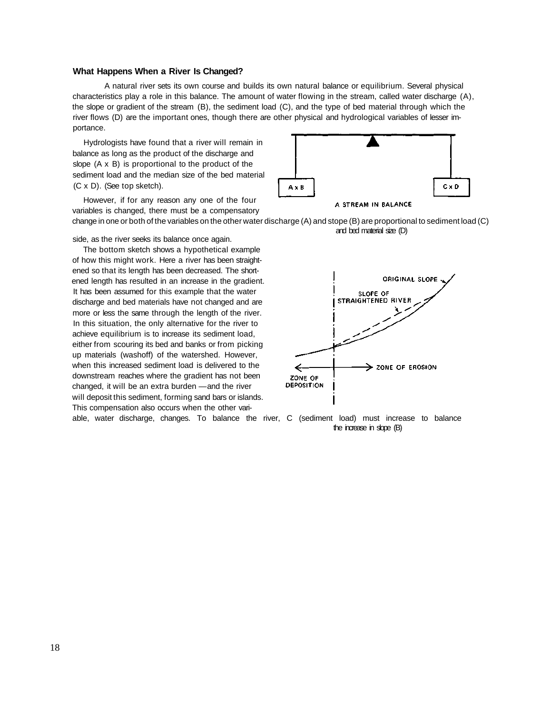#### **What Happens When a River Is Changed?**

A natural river sets its own course and builds its own natural balance or equilibrium. Several physical characteristics play a role in this balance. The amount of water flowing in the stream, called water discharge (A), the slope or gradient of the stream (B), the sediment load (C), and the type of bed material through which the river flows (D) are the important ones, though there are other physical and hydrological variables of lesser importance.

Hydrologists have found that a river will remain in balance as long as the product of the discharge and slope (A x B) is proportional to the product of the sediment load and the median size of the bed material (C x D). (See top sketch).

However, if for any reason any one of the four variables is changed, there must be a compensatory change in one or both of the variables on the other water discharge (A) and stope (B) are proportional to sediment load (C)

side, as the river seeks its balance once again.

The bottom sketch shows a hypothetical example of how this might work. Here a river has been straightened so that its length has been decreased. The shortened length has resulted in an increase in the gradient. It has been assumed for this example that the water discharge and bed materials have not changed and are more or less the same through the length of the river. In this situation, the only alternative for the river to achieve equilibrium is to increase its sediment load, either from scouring its bed and banks or from picking up materials (washoff) of the watershed. However, when this increased sediment load is delivered to the downstream reaches where the gradient has not been changed, it will be an extra burden — and the river will deposit this sediment, forming sand bars or islands. This compensation also occurs when the other variable, water discharge, changes. To balance the river, C (sediment load) must increase to balance



and bed material size (D)

ORIGINAL SLOPE **SLOPE OF** STRAIGHTENED RIVER  $\rightarrow$  zone of erosion ZONE OF DEPOSITION

the increase in slope (B)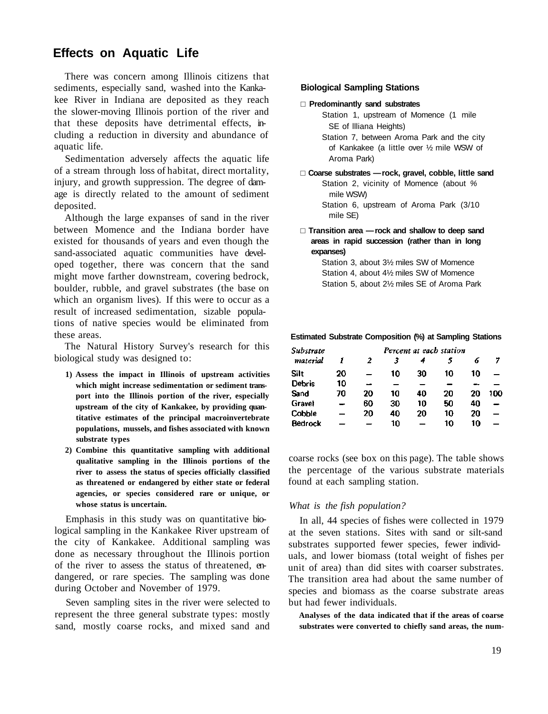# **Effects on Aquatic Life**

There was concern among Illinois citizens that sediments, especially sand, washed into the Kankakee River in Indiana are deposited as they reach the slower-moving Illinois portion of the river and that these deposits have detrimental effects, including a reduction in diversity and abundance of aquatic life.

Sedimentation adversely affects the aquatic life of a stream through loss of habitat, direct mortality, injury, and growth suppression. The degree of damage is directly related to the amount of sediment deposited.

Although the large expanses of sand in the river between Momence and the Indiana border have existed for thousands of years and even though the sand-associated aquatic communities have developed together, there was concern that the sand might move farther downstream, covering bedrock, boulder, rubble, and gravel substrates (the base on which an organism lives). If this were to occur as a result of increased sedimentation, sizable populations of native species would be eliminated from these areas.

The Natural History Survey's research for this biological study was designed to:

- **1) Assess the impact in Illinois of upstream activities which might increase sedimentation or sediment transport into the Illinois portion of the river, especially upstream of the city of Kankakee, by providing quantitative estimates of the principal macroinvertebrate populations, mussels, and fishes associated with known substrate types**
- **2) Combine this quantitative sampling with additional qualitative sampling in the Illinois portions of the river to assess the status of species officially classified as threatened or endangered by either state or federal agencies, or species considered rare or unique, or whose status is uncertain.**

Emphasis in this study was on quantitative biological sampling in the Kankakee River upstream of the city of Kankakee. Additional sampling was done as necessary throughout the Illinois portion of the river to assess the status of threatened, endangered, or rare species. The sampling was done during October and November of 1979.

Seven sampling sites in the river were selected to represent the three general substrate types: mostly sand, mostly coarse rocks, and mixed sand and

#### **Biological Sampling Stations**

#### **Predominantly sand substrates**

- Station 1, upstream of Momence (1 mile SE of Illiana Heights)
- Station 7, between Aroma Park and the city of Kankakee (a little over ½ mile WSW of Aroma Park)

 **Coarse substrates — rock, gravel, cobble, little sand**  Station 2, vicinity of Momence (about *%*  mile WSW) Station 6, upstream of Aroma Park (3/10

mile SE)

 **Transition area — rock and shallow to deep sand areas in rapid succession (rather than in long expanses)** 

Station 3, about 3½ miles SW of Momence Station 4, about 4½ miles SW of Momence Station 5, about 2½ miles SE of Aroma Park

#### **Estimated Substrate Composition (%) at Sampling Stations**

| Substrate      | Percent at each station |    |    |    |    |    |     |
|----------------|-------------------------|----|----|----|----|----|-----|
| material       |                         | 2  |    |    |    | 6  |     |
| Silt           | 20                      |    | 10 | 30 | 10 | 10 |     |
| <b>Debris</b>  | 10                      |    |    |    |    |    |     |
| Sand           | 70                      | 20 | 10 | 40 | 20 | 20 | 100 |
| Gravel         |                         | 60 | 30 | 10 | 50 | 40 |     |
| Cobble         |                         | 20 | 40 | 20 | 10 | 20 |     |
| <b>Bedrock</b> |                         |    | 10 |    | 10 | 10 |     |

coarse rocks (see box on this page). The table shows the percentage of the various substrate materials found at each sampling station.

#### *What is the fish population?*

In all, 44 species of fishes were collected in 1979 at the seven stations. Sites with sand or silt-sand substrates supported fewer species, fewer individuals, and lower biomass (total weight of fishes per unit of area) than did sites with coarser substrates. The transition area had about the same number of species and biomass as the coarse substrate areas but had fewer individuals.

**Analyses of the data indicated that if the areas of coarse substrates were converted to chiefly sand areas, the num-**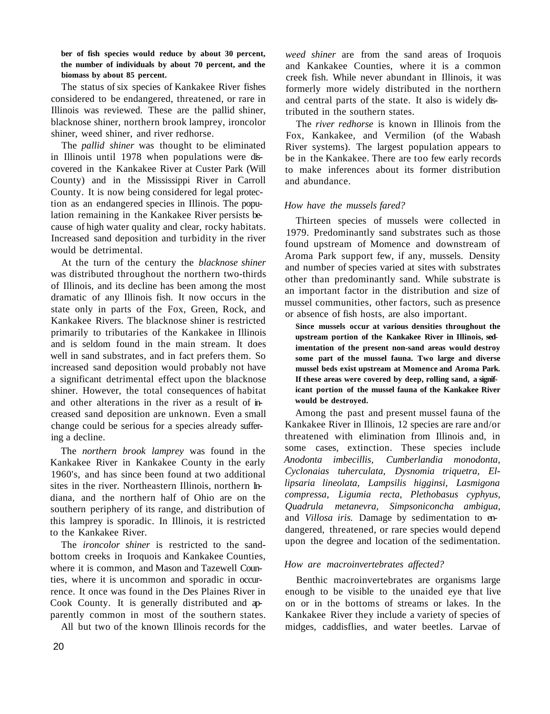**ber of fish species would reduce by about 30 percent, the number of individuals by about 70 percent, and the biomass by about 85 percent.** 

The status of six species of Kankakee River fishes considered to be endangered, threatened, or rare in Illinois was reviewed. These are the pallid shiner, blacknose shiner, northern brook lamprey, ironcolor shiner, weed shiner, and river redhorse.

The *pallid shiner* was thought to be eliminated in Illinois until 1978 when populations were discovered in the Kankakee River at Custer Park (Will County) and in the Mississippi River in Carroll County. It is now being considered for legal protection as an endangered species in Illinois. The population remaining in the Kankakee River persists because of high water quality and clear, rocky habitats. Increased sand deposition and turbidity in the river would be detrimental.

At the turn of the century the *blacknose shiner*  was distributed throughout the northern two-thirds of Illinois, and its decline has been among the most dramatic of any Illinois fish. It now occurs in the state only in parts of the Fox, Green, Rock, and Kankakee Rivers. The blacknose shiner is restricted primarily to tributaries of the Kankakee in Illinois and is seldom found in the main stream. It does well in sand substrates, and in fact prefers them. So increased sand deposition would probably not have a significant detrimental effect upon the blacknose shiner. However, the total consequences of habitat and other alterations in the river as a result of increased sand deposition are unknown. Even a small change could be serious for a species already suffering a decline.

The *northern brook lamprey* was found in the Kankakee River in Kankakee County in the early 1960's, and has since been found at two additional sites in the river. Northeastern Illinois, northern Indiana, and the northern half of Ohio are on the southern periphery of its range, and distribution of this lamprey is sporadic. In Illinois, it is restricted to the Kankakee River.

The *ironcolor shiner* is restricted to the sandbottom creeks in Iroquois and Kankakee Counties, where it is common, and Mason and Tazewell Counties, where it is uncommon and sporadic in occurrence. It once was found in the Des Plaines River in Cook County. It is generally distributed and apparently common in most of the southern states.

All but two of the known Illinois records for the

*weed shiner* are from the sand areas of Iroquois and Kankakee Counties, where it is a common creek fish. While never abundant in Illinois, it was formerly more widely distributed in the northern and central parts of the state. It also is widely distributed in the southern states.

The *river redhorse* is known in Illinois from the Fox, Kankakee, and Vermilion (of the Wabash River systems). The largest population appears to be in the Kankakee. There are too few early records to make inferences about its former distribution and abundance.

#### *How have the mussels fared?*

Thirteen species of mussels were collected in 1979. Predominantly sand substrates such as those found upstream of Momence and downstream of Aroma Park support few, if any, mussels. Density and number of species varied at sites with substrates other than predominantly sand. While substrate is an important factor in the distribution and size of mussel communities, other factors, such as presence or absence of fish hosts, are also important.

**Since mussels occur at various densities throughout the upstream portion of the Kankakee River in Illinois, sedimentation of the present non-sand areas would destroy some part of the mussel fauna. Two large and diverse mussel beds exist upstream at Momence and Aroma Park. If these areas were covered by deep, rolling sand, a significant portion of the mussel fauna of the Kankakee River would be destroyed.** 

Among the past and present mussel fauna of the Kankakee River in Illinois, 12 species are rare and/or threatened with elimination from Illinois and, in some cases, extinction. These species include *Anodonta imbecillis, Cumberlandia monodonta, Cyclonaias tuherculata, Dysnomia triquetra, Ellipsaria lineolata, Lampsilis higginsi, Lasmigona compressa, Ligumia recta, Plethobasus cyphyus, Quadrula metanevra, Simpsoniconcha ambigua,*  and *Villosa iris.* Damage by sedimentation to endangered, threatened, or rare species would depend upon the degree and location of the sedimentation.

#### *How are macroinvertebrates affected?*

Benthic macroinvertebrates are organisms large enough to be visible to the unaided eye that live on or in the bottoms of streams or lakes. In the Kankakee River they include a variety of species of midges, caddisflies, and water beetles. Larvae of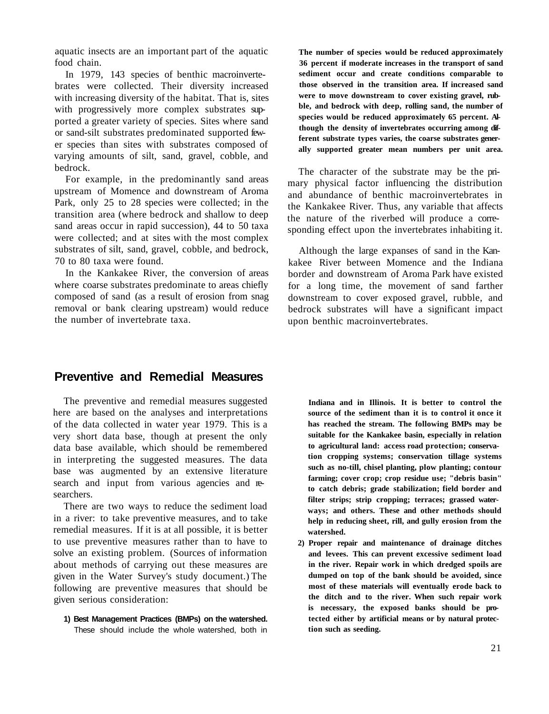aquatic insects are an important part of the aquatic food chain.

In 1979, 143 species of benthic macroinvertebrates were collected. Their diversity increased with increasing diversity of the habitat. That is, sites with progressively more complex substrates supported a greater variety of species. Sites where sand or sand-silt substrates predominated supported fewer species than sites with substrates composed of varying amounts of silt, sand, gravel, cobble, and bedrock.

For example, in the predominantly sand areas upstream of Momence and downstream of Aroma Park, only 25 to 28 species were collected; in the transition area (where bedrock and shallow to deep sand areas occur in rapid succession), 44 to 50 taxa were collected; and at sites with the most complex substrates of silt, sand, gravel, cobble, and bedrock, 70 to 80 taxa were found.

In the Kankakee River, the conversion of areas where coarse substrates predominate to areas chiefly composed of sand (as a result of erosion from snag removal or bank clearing upstream) would reduce the number of invertebrate taxa.

**The number of species would be reduced approximately 36 percent if moderate increases in the transport of sand sediment occur and create conditions comparable to those observed in the transition area. If increased sand were to move downstream to cover existing gravel, rubble, and bedrock with deep, rolling sand, the number of species would be reduced approximately 65 percent. Although the density of invertebrates occurring among different substrate types varies, the coarse substrates generally supported greater mean numbers per unit area.** 

The character of the substrate may be the primary physical factor influencing the distribution and abundance of benthic macroinvertebrates in the Kankakee River. Thus, any variable that affects the nature of the riverbed will produce a corresponding effect upon the invertebrates inhabiting it.

Although the large expanses of sand in the Kankakee River between Momence and the Indiana border and downstream of Aroma Park have existed for a long time, the movement of sand farther downstream to cover exposed gravel, rubble, and bedrock substrates will have a significant impact upon benthic macroinvertebrates.

### **Preventive and Remedial Measures**

The preventive and remedial measures suggested here are based on the analyses and interpretations of the data collected in water year 1979. This is a very short data base, though at present the only data base available, which should be remembered in interpreting the suggested measures. The data base was augmented by an extensive literature search and input from various agencies and researchers.

There are two ways to reduce the sediment load in a river: to take preventive measures, and to take remedial measures. If it is at all possible, it is better to use preventive measures rather than to have to solve an existing problem. (Sources of information about methods of carrying out these measures are given in the Water Survey's study document.) The following are preventive measures that should be given serious consideration:

**1) Best Management Practices (BMPs) on the watershed.**  These should include the whole watershed, both in **Indiana and in Illinois. It is better to control the source of the sediment than it is to control it once it has reached the stream. The following BMPs may be suitable for the Kankakee basin, especially in relation to agricultural land: access road protection; conservation cropping systems; conservation tillage systems such as no-till, chisel planting, plow planting; contour farming; cover crop; crop residue use; "debris basin" to catch debris; grade stabilization; field border and filter strips; strip cropping; terraces; grassed waterways; and others. These and other methods should help in reducing sheet, rill, and gully erosion from the watershed.** 

**2) Proper repair and maintenance of drainage ditches and levees. This can prevent excessive sediment load in the river. Repair work in which dredged spoils are dumped on top of the bank should be avoided, since most of these materials will eventually erode back to the ditch and to the river. When such repair work is necessary, the exposed banks should be protected either by artificial means or by natural protection such as seeding.**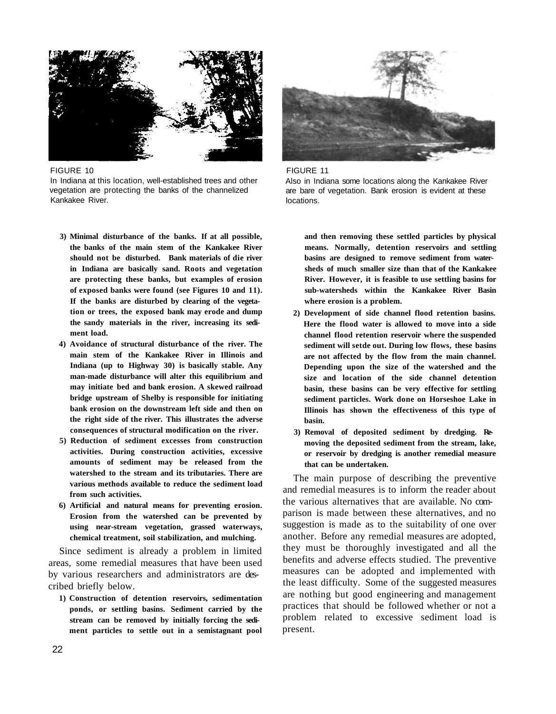

FIGURE 10 In Indiana at this location, well-established trees and other vegetation are protecting the banks of the channelized Kankakee River.

- **3) Minimal disturbance of the banks. If at all possible, the banks of the main stem of the Kankakee River should not be disturbed. Bank materials of die river in Indiana are basically sand. Roots and vegetation are protecting these banks, but examples of erosion of exposed banks were found (see Figures 10 and 11). If the banks are disturbed by clearing of the vegetation or trees, the exposed bank may erode and dump the sandy materials in the river, increasing its sediment load.**
- **4) Avoidance of structural disturbance of the river. The main stem of the Kankakee River in Illinois and Indiana (up to Highway 30) is basically stable. Any man-made disturbance will alter this equilibrium and may initiate bed and bank erosion. A skewed railroad bridge upstream of Shelby is responsible for initiating bank erosion on the downstream left side and then on the right side of the river. This illustrates the adverse consequences of structural modification on the river.**
- **5) Reduction of sediment excesses from construction activities. During construction activities, excessive amounts of sediment may be released from the watershed to the stream and its tributaries. There are various methods available to reduce the sediment load from such activities.**
- **6) Artificial and natural means for preventing erosion. Erosion from the watershed can be prevented by using near-stream vegetation, grassed waterways, chemical treatment, soil stabilization, and mulching.**

Since sediment is already a problem in limited areas, some remedial measures that have been used by various researchers and administrators are described briefly below.

**1) Construction of detention reservoirs, sedimentation ponds, or settling basins. Sediment carried by the stream can be removed by initially forcing the sediment particles to settle out in a semistagnant pool** 



FIGURE 11 Also in Indiana some locations along the Kankakee River are bare of vegetation. Bank erosion is evident at these locations.

**and then removing these settled particles by physical means. Normally, detention reservoirs and settling basins are designed to remove sediment from watersheds of much smaller size than that of the Kankakee River. However, it is feasible to use settling basins for sub-watersheds within the Kankakee River Basin where erosion is a problem.** 

- **2) Development of side channel flood retention basins. Here the flood water is allowed to move into a side channel flood retention reservoir where the suspended sediment will setde out. During low flows, these basins are not affected by the flow from the main channel. Depending upon the size of the watershed and the size and location of the side channel detention basin, these basins can be very effective for settling sediment particles. Work done on Horseshoe Lake in Illinois has shown the effectiveness of this type of basin.**
- **3) Removal of deposited sediment by dredging. Removing the deposited sediment from the stream, lake, or reservoir by dredging is another remedial measure that can be undertaken.**

The main purpose of describing the preventive and remedial measures is to inform the reader about the various alternatives that are available. No comparison is made between these alternatives, and no suggestion is made as to the suitability of one over another. Before any remedial measures are adopted, they must be thoroughly investigated and all the benefits and adverse effects studied. The preventive measures can be adopted and implemented with the least difficulty. Some of the suggested measures are nothing but good engineering and management practices that should be followed whether or not a problem related to excessive sediment load is present.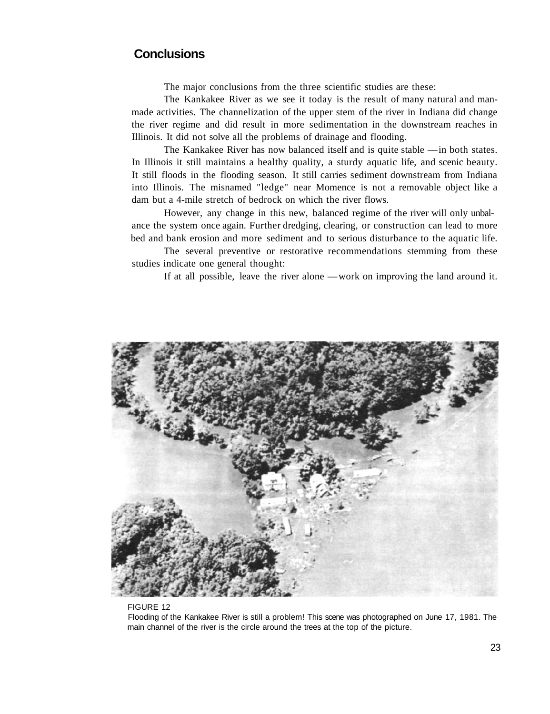# **Conclusions**

The major conclusions from the three scientific studies are these:

The Kankakee River as we see it today is the result of many natural and manmade activities. The channelization of the upper stem of the river in Indiana did change the river regime and did result in more sedimentation in the downstream reaches in Illinois. It did not solve all the problems of drainage and flooding.

The Kankakee River has now balanced itself and is quite stable — in both states. In Illinois it still maintains a healthy quality, a sturdy aquatic life, and scenic beauty. It still floods in the flooding season. It still carries sediment downstream from Indiana into Illinois. The misnamed "ledge" near Momence is not a removable object like a dam but a 4-mile stretch of bedrock on which the river flows.

However, any change in this new, balanced regime of the river will only unbalance the system once again. Further dredging, clearing, or construction can lead to more bed and bank erosion and more sediment and to serious disturbance to the aquatic life.

The several preventive or restorative recommendations stemming from these studies indicate one general thought:

If at all possible, leave the river alone — work on improving the land around it.



#### FIGURE 12

Flooding of the Kankakee River is still a problem! This scene was photographed on June 17, 1981. The main channel of the river is the circle around the trees at the top of the picture.